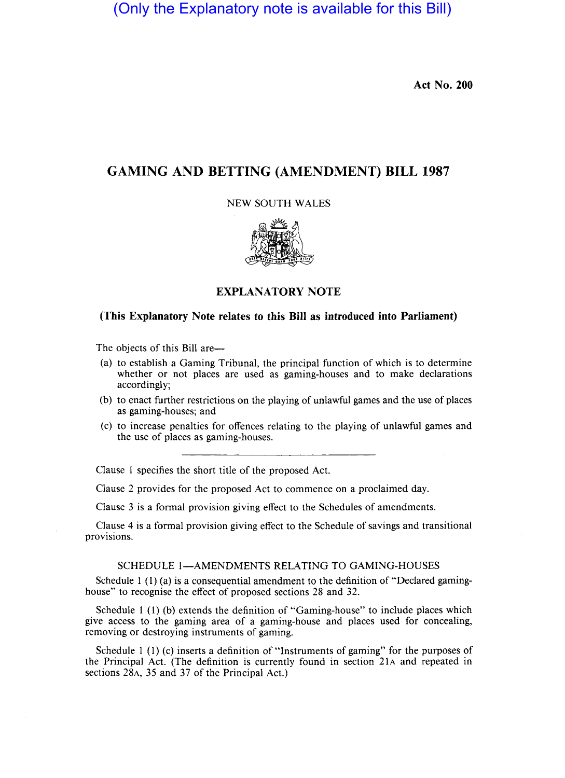(Only the Explanatory note is available for this Bill)

**Act No. 200** 

# **GAMING AND BETTING (AMENDMENT) BILL 1987**

NEW SOUTH WALES



**EXPLANATORY NOTE** 

## **(This Explanatory Note relates to this Bill as introduced into Parliament)**

The objects of this Bill are—

- (a) to establish a Gaming Tribunal, the principal function of which is to determine whether or not places are used as gaming-houses and to make declarations accordingly;
- (b) to enact further restrictions on the playing of unlawful games and the use of places as gaming-houses; and
- (c) to increase penalties for offences relating to the playing of unlawful games and the use of places as gaming-houses.

Clause I specifies the short title of the proposed Act.

Clause 2 provides for the proposed Act to commence on a proclaimed day.

Clause 3 is a formal provision giving effect to the Schedules of amendments.

Clause 4 is a formal provision giving effect to the Schedule of savings and transitional provisions.

#### SCHEDULE I-AMENDMENTS RELATING TO GAMING-HOUSES

Schedule 1 (1) (a) is a consequential amendment to the definition of "Declared gaminghouse" to recognise the effect of proposed sections 28 and 32.

Schedule 1 (I) (b) extends the definition of "Gaming-house" to include places which give access to the gaming area of a gaming-house and places used for concealing, removing or destroying instruments of gaming.

Schedule 1 (1) (c) inserts a definition of "Instruments of gaming" for the purposes of the Principal Act. (The definition is currently found in section 21A and repeated in sections 28A, 35 and 37 of the Principal Act.)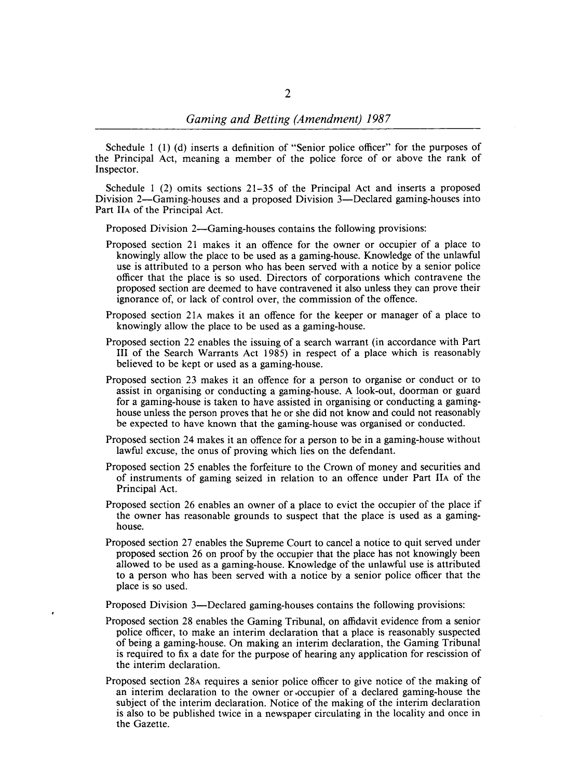Schedule 1 (1) (d) inserts a definition of "Senior police officer" for the purposes of the Principal Act, meaning a member of the police force of or above the rank of Inspector.

Schedule 1 (2) omits sections 21-35 of the Principal Act and inserts a proposed Division 2-Gaming-houses and a proposed Division 3-Declared gaming-houses into Part HA of the Principal Act.

Proposed Division 2—Gaming-houses contains the following provisions:

- Proposed section 21 makes it an offence for the owner or occupier of a place to knowingly allow the place to be used as a gaming-house. Knowledge of the unlawful use is attributed to a person who has been served with a notice by a senior police officer that the place is so used. Directors of corporations which contravene the proposed section are deemed to have contravened it also unless they can prove their ignorance of, or lack of control over, the commission of the offence.
- Proposed section 21A makes it an offence for the keeper or manager of a place to knowingly allow the place to be used as a gaming-house.
- Proposed section 22 enables the issuing of a search warrant (in accordance with Part **IH** of the Search Warrants Act 1985) in respect of a place which is reasonably believed to be kept or used as a gaming-house.
- Proposed section 23 makes it an offence for a person to organise or conduct or to assist in organising or conducting a gaming-house. A look-out, doorman or guard for a gaming-house is taken to have assisted in organising or conducting a gaminghouse unless the person proves that he or she did not know and could not reasonably be expected to have known that the gaming-house was organised or conducted.
- Proposed section 24 makes it an offence for a person to be in a gaming-house without lawful excuse, the onus of proving which lies on the defendant.
- Proposed section 25 enables the forfeiture to the Crown of money and securities and of instruments of gaming seized in relation to an offence under Part HA of the Principal Act.
- Proposed section 26 enables an owner of a place to evict the occupier of the place if the owner has reasonable grounds to suspect that the place is used as a gaminghouse.
- Proposed section 27 enables the Supreme Court to cancel a notice to quit served under proposed section 26 on proof by the occupier that the place has not knowingly been allowed to be used as a gaming-house. Knowledge of the unlawful use is attributed to a person who has been served with a notice by a senior police officer that the place is so used.

Proposed Division 3—Declared gaming-houses contains the following provisions:

- Proposed section 28 enables the Gaming Tribunal, on affidavit evidence from a senior police officer, to make an interim declaration that a place is reasonably suspected of being a gaming-house. On making an interim declaration, the Gaming Tribunal is required to fix a date for the purpose of hearing any application for rescission of the interim declaration.
- Proposed section 28A requires a senior police officer to give notice of the making of an interim declaration to the owner or .occupier of a declared gaming-house the subject of the interim declaration. Notice of the making of the interim declaration is also to be published twice in a newspaper circulating in the locality and once in the Gazette.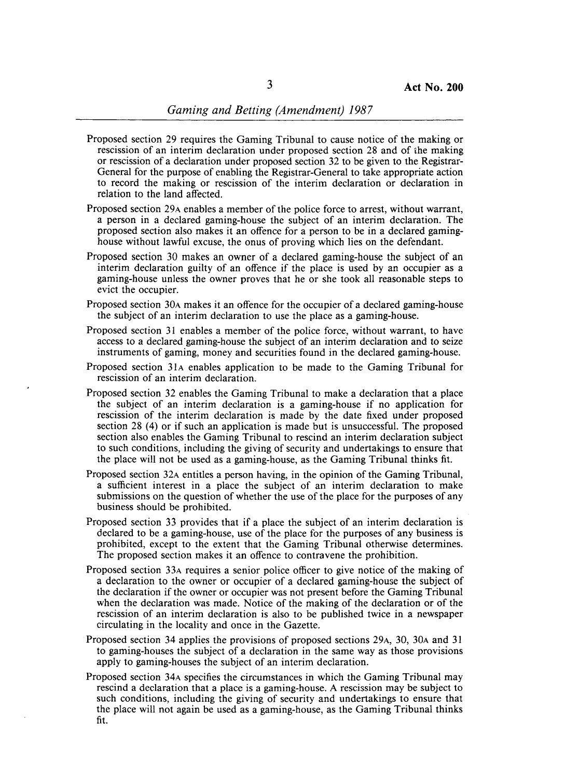- Proposed section 29 requires the Gaming Tribunal to cause notice of the making or rescission of an interim declaration under proposed section 28 and of the making or rescission of a declaration under proposed section 32 to be given to the Registrar-General for the purpose of enabling the Registrar-General to take appropriate action to record the making or rescission of the interim declaration or declaration in relation to the land affected.
- Proposed section 29A enables a member of the police force to arrest, without warrant, a person in a declared gaming-house the subject of an interim declaration. The proposed section also makes it an offence for a person to be in a declared gaminghouse without lawful excuse, the onus of proving which lies on the defendant.
- Proposed section 30 makes an owner of a declared gaming-house the subject of an interim declaration guilty of an offence if the place is used by an occupier as a gaming-house unless the owner proves that he or she took all reasonable steps to evict the occupier.
- Proposed section 30A makes it an offence for the occupier of a declared gaming-house the subject of an interim declaration to use the place as a gaming-house.
- Proposed section 31 enables a member of the police force, without warrant, to have access to a declared gaming-house the subject of an interim declaration and to seize instruments of gaming, money and securities found in the declared gaming-house.
- Proposed section 3lA enables application to be made to the Gaming Tribunal for rescission of an interim declaration.
- Proposed section 32 enables the Gaming Tribunal to make a declaration that a place the subject of an interim declaration is a gaming-house if no application for rescission of the interim declaration is made by the date fixed under proposed section 28 (4) or if such an application is made but is unsuccessful. The proposed section also enables the Gaming Tribunal to rescind an interim declaration subject to such conditions, including the giving of security and undertakings to ensure that the place will not be used as a gaming-house, as the Gaming Tribunal thinks fit.
- Proposed section 32A entitles a person having, in the opinion of the Gaming Tribunal, a sufficient interest in a place the subject of an interim declaration to make submissions on the question of whether the use of the place for the purposes of any business should be prohibited.
- Proposed section 33 provides that if a place the subject of an interim declaration is declared to be a gaming-house, use of the place for the purposes of any business is prohibited, except to the extent that the Gaming Tribunal otherwise determines. The proposed section makes it an offence to contravene the prohibition.
- Proposed section 33A requires a senior police officer to give notice of the making of a declaration to the owner or occupier of a declared gaming-house the subject of the declaration if the owner or occupier was not present before the Gaming Tribunal when the declaration was made. Notice of the making of the declaration or of the rescission of an interim declaration is also to be published twice in a newspaper circulating in the locality and once in the Gazette.
- Proposed section 34 applies the provisions of proposed sections 29A, 30, 30A and 31 to gaming-houses the subject of a declaration in the same way as those provisions apply to gaming-houses the subject of an interim declaration.
- Proposed section 34A specifies the circumstances in which the Gaming Tribunal may rescind a declaration that a place is a gaming-house. A rescission may be subject to such conditions, including the giving of security and undertakings to ensure that the place will not again be used as a gaming-house, as the Gaming Tribunal thinks fit.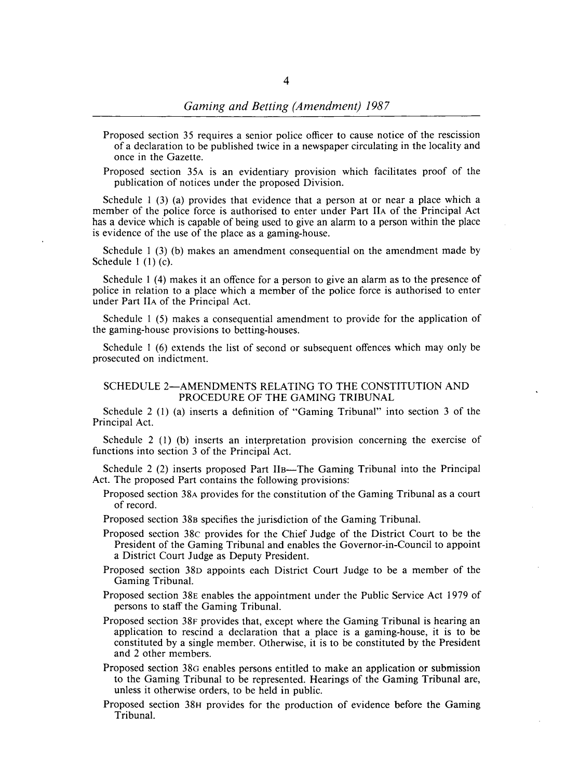- Proposed section 35 requires a senior police officer to cause notice of the rescission of a declaration to be published twice in a newspaper circulating in the locality and once in the Gazette.
- Proposed section 35A is an evidentiary provision which facilitates proof of the publication of notices under the proposed Division.

Schedule  $1(3)$  (a) provides that evidence that a person at or near a place which a member of the police force is authorised to enter under Part IIA of the Principal Act has a device which is capable of being used to give an alarm to a person within the place is evidence of the use of the place as a gaming-house.

Schedule 1 (3) (b) makes an amendment consequential on the amendment made by Schedule 1 (1) (c).

Schedule I (4) makes it an offence for a person to give an alarm as to the presence of police in relation to a place which a member of the police force is authorised to enter under Part IIA of the Principal Act.

Schedule 1 (5) makes a consequential amendment to provide for the application of the gaming-house provisions to betting-houses.

Schedule 1 (6) extends the list of second or subsequent offences which may only be prosecuted on indictment.

#### SCHEDULE 2-AMENDMENTS RELATING TO THE CONSTITUTION AND PROCEDURE OF THE GAMING TRIBUNAL

Schedule 2 (I) (a) inserts a definition of "Gaming Tribunal" into section 3 of the Principal Act.

Schedule 2 (1) (b) inserts an interpretation provision concerning the exercise of functions into section 3 of the Principal Act.

Schedule 2 (2) inserts proposed Part IIB—The Gaming Tribunal into the Principal Act. The proposed Part contains the following provisions:

- Proposed section 38A provides for the constitution of the Gaming Tribunal as a court of record.
- Proposed section 38B specifies the jurisdiction of the Gaming Tribunal.
- Proposed section 38c provides for the Chief Judge of the District Court to be the President of the Gaming Tribunal and enables the Governor-in-Council to appoint a District Court Judge as Deputy President.
- Proposed section 38D appoints each District Court Judge to be a member of the Gaming Tribunal.
- Proposed section 38E enables the appointment under the Public Service Act 1979 of persons to staff the Gaming Tribunal.
- Proposed section 38F provides that, except where the Gaming Tribunal is hearing an application to rescind a declaration that a place is a gaming-house, it is to be constituted by a single member. Otherwise, it is to be constituted by the President and 2 other members.
- Proposed section 38a enables persons entitled to make an application or submission to the Gaming Tribunal to be represented. Hearings of the Gaming Tribunal are, unless it otherwise orders, to be held in public.
- Proposed section 38H provides for the production of evidence before the Gaming Tribunal.